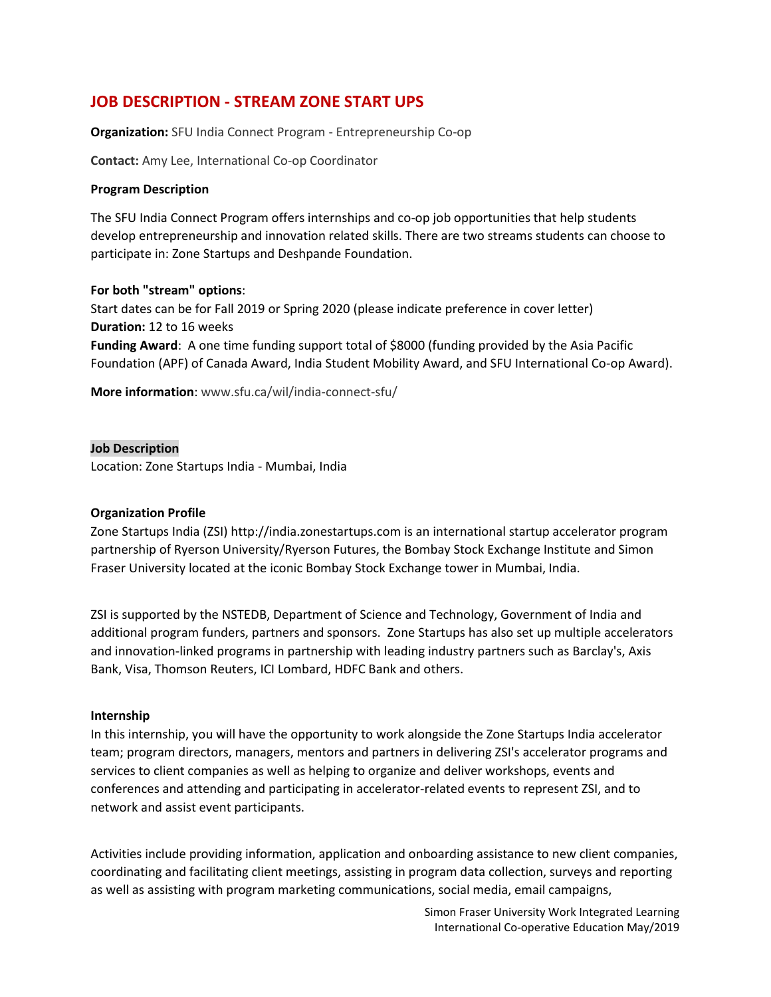# **JOB DESCRIPTION - STREAM ZONE START UPS**

**Organization:** SFU India Connect Program - Entrepreneurship Co-op

**Contact:** Amy Lee, International Co-op Coordinator

#### **Program Description**

The SFU India Connect Program offers internships and co-op job opportunities that help students develop entrepreneurship and innovation related skills. There are two streams students can choose to participate in: Zone Startups and Deshpande Foundation.

#### **For both "stream" options**:

Start dates can be for Fall 2019 or Spring 2020 (please indicate preference in cover letter) **Duration:** 12 to 16 weeks **Funding Award**: A one time funding support total of \$8000 (funding provided by the Asia Pacific Foundation (APF) of Canada Award, India Student Mobility Award, and SFU International Co-op Award).

**More information**: www.sfu.ca/wil/india-connect-sfu/

**Job Description** Location: Zone Startups India - Mumbai, India

# **Organization Profile**

Zone Startups India (ZSI) http://india.zonestartups.com is an international startup accelerator program partnership of Ryerson University/Ryerson Futures, the Bombay Stock Exchange Institute and Simon Fraser University located at the iconic Bombay Stock Exchange tower in Mumbai, India.

ZSI is supported by the NSTEDB, Department of Science and Technology, Government of India and additional program funders, partners and sponsors. Zone Startups has also set up multiple accelerators and innovation-linked programs in partnership with leading industry partners such as Barclay's, Axis Bank, Visa, Thomson Reuters, ICI Lombard, HDFC Bank and others.

#### **Internship**

In this internship, you will have the opportunity to work alongside the Zone Startups India accelerator team; program directors, managers, mentors and partners in delivering ZSI's accelerator programs and services to client companies as well as helping to organize and deliver workshops, events and conferences and attending and participating in accelerator-related events to represent ZSI, and to network and assist event participants.

Activities include providing information, application and onboarding assistance to new client companies, coordinating and facilitating client meetings, assisting in program data collection, surveys and reporting as well as assisting with program marketing communications, social media, email campaigns,

> Simon Fraser University Work Integrated Learning International Co-operative Education May/2019